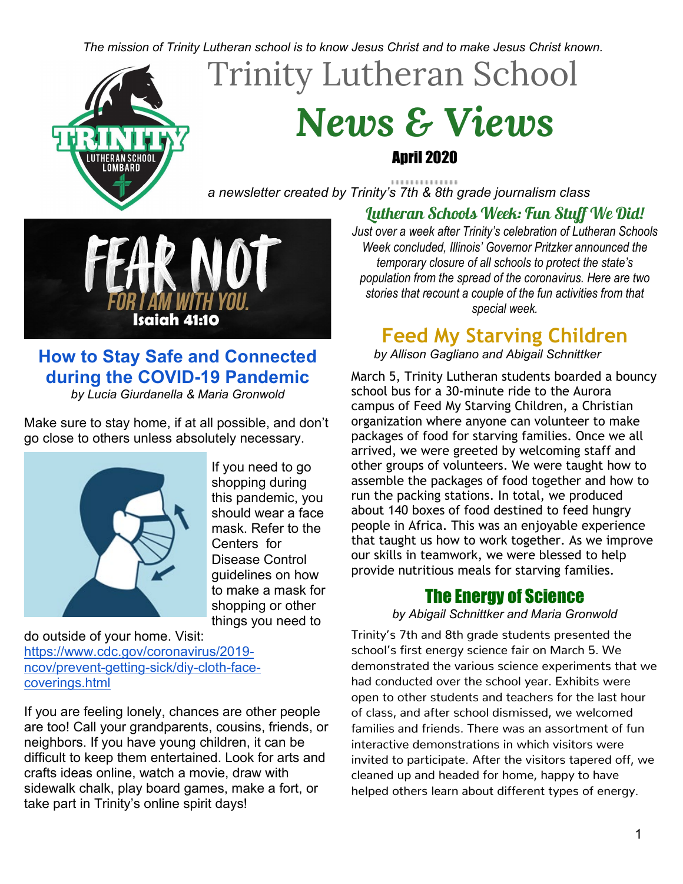#### *The mission of Trinity Lutheran school is to know Jesus Christ and to make Jesus Christ known.*

# Trinity Lutheran School



## *News & Views* April 2020

*a newsletter created by Trinity's 7th & 8th grade journalism class*



### **How to Stay Safe and Connected during the COVID-19 Pandemic**

*by Lucia Giurdanella & Maria Gronwold*

Make sure to stay home, if at all possible, and don't get close to others unless absolutely necessary.



If you need to go shopping during this pandemic, you should wear a face mask. Refer to the Centers for Disease Control guidelines on how to make a mask for shopping or other things you need to

do outside of your home. Visit: [https://www.cdc.gov/coronavirus/2019](https://www.cdc.gov/coronavirus/2019-ncov/prevent-getting-sick/diy-cloth-face-coverings.html) [ncov/prevent-getting-sick/diy-cloth-face](https://www.cdc.gov/coronavirus/2019-ncov/prevent-getting-sick/diy-cloth-face-coverings.html)[coverings.html](https://www.cdc.gov/coronavirus/2019-ncov/prevent-getting-sick/diy-cloth-face-coverings.html)

If you are feeling lonely, chances are other people are too! Call your grandparents, cousins, friends, or neighbors. If you have young children, it can be difficult to keep them entertained. Look for arts and crafts ideas online, watch a movie, draw with sidewalk chalk, play board games, make a fort, or take part in Trinity's online spirit days!

### Lutheran Schools Week: Fun Stuff We Did!

*Just over a week after Trinity's celebration of Lutheran Schools Week concluded, Illinois' Governor Pritzker announced the temporary closure of all schools to protect the state's population from the spread of the coronavirus. Here are two stories that recount a couple of the fun activities from that special week.*

### **Feed My Starving Children**

*by Allison Gagliano and Abigail Schnittker*

March 5, Trinity Lutheran students boarded a bouncy school bus for a 30-minute ride to the Aurora campus of Feed My Starving Children, a Christian organization where anyone can volunteer to make packages of food for starving families. Once we all arrived, we were greeted by welcoming staff and other groups of volunteers. We were taught how to assemble the packages of food together and how to run the packing stations. In total, we produced about 140 boxes of food destined to feed hungry people in Africa. This was an enjoyable experience that taught us how to work together. As we improve our skills in teamwork, we were blessed to help provide nutritious meals for starving families.

### The Energy of Science

*by Abigail Schnittker and Maria Gronwold* 

Trinity's 7th and 8th grade students presented the school's first energy science fair on March 5. We demonstrated the various science experiments that we had conducted over the school year. Exhibits were open to other students and teachers for the last hour of class, and after school dismissed, we welcomed families and friends. There was an assortment of fun interactive demonstrations in which visitors were invited to participate. After the visitors tapered off, we cleaned up and headed for home, happy to have helped others learn about different types of energy.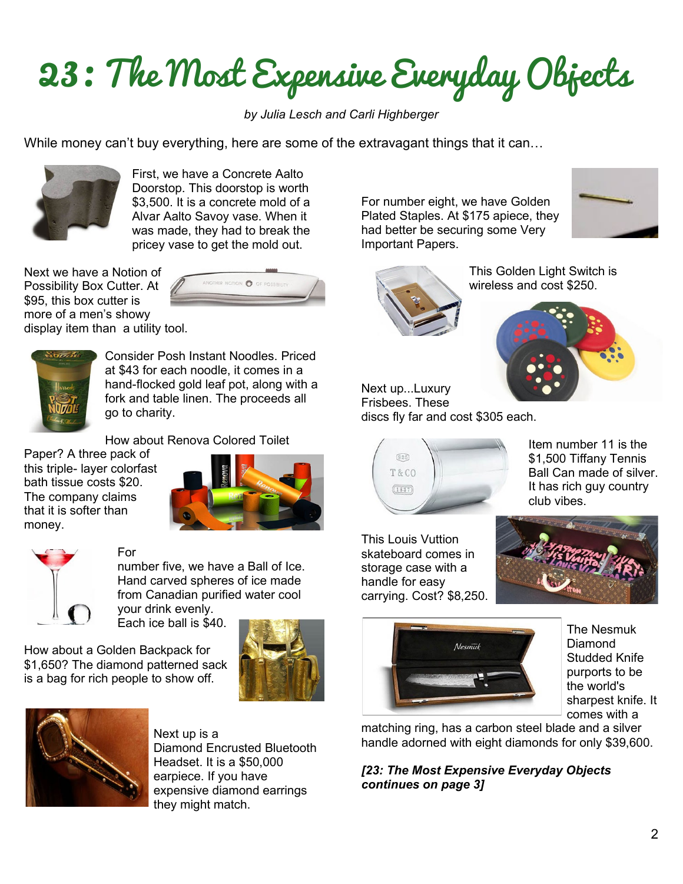23: The Most Expensive Everyday Objects

*by Julia Lesch and Carli Highberger*

While money can't buy everything, here are some of the extravagant things that it can...



First, we have a Concrete Aalto Doorstop. This doorstop is worth \$3,500. It is a concrete mold of a Alvar Aalto Savoy vase. When it was made, they had to break the pricey vase to get the mold out.

Next we have a Notion of Possibility Box Cutter. At \$95, this box cutter is more of a men's showy display item than a utility tool.





Consider Posh Instant Noodles. Priced at \$43 for each noodle, it comes in a hand-flocked gold leaf pot, along with a fork and table linen. The proceeds all go to charity.

How about Renova Colored Toilet

Paper? A three pack of this triple- layer colorfast bath tissue costs \$20. The company claims that it is softer than money.





For

number five, we have a Ball of Ice. Hand carved spheres of ice made from Canadian purified water cool your drink evenly.

Each ice ball is \$40.

How about a Golden Backpack for \$1,650? The diamond patterned sack is a bag for rich people to show off.





Next up is a Diamond Encrusted Bluetooth Headset. It is a \$50,000 earpiece. If you have expensive diamond earrings they might match.

For number eight, we have Golden Plated Staples. At \$175 apiece, they had better be securing some Very Important Papers.





This Golden Light Switch is wireless and cost \$250.



Next up...Luxury Frisbees. These discs fly far and cost \$305 each.



Item number 11 is the \$1,500 Tiffany Tennis Ball Can made of silver. It has rich guy country club vibes.

This Louis Vuttion skateboard comes in storage case with a handle for easy carrying. Cost? \$8,250.





The Nesmuk Diamond Studded Knife purports to be the world's sharpest knife. It comes with a

matching ring, has a carbon steel blade and a silver handle adorned with eight diamonds for only \$39,600.

*[23: The Most Expensive Everyday Objects continues on page 3]*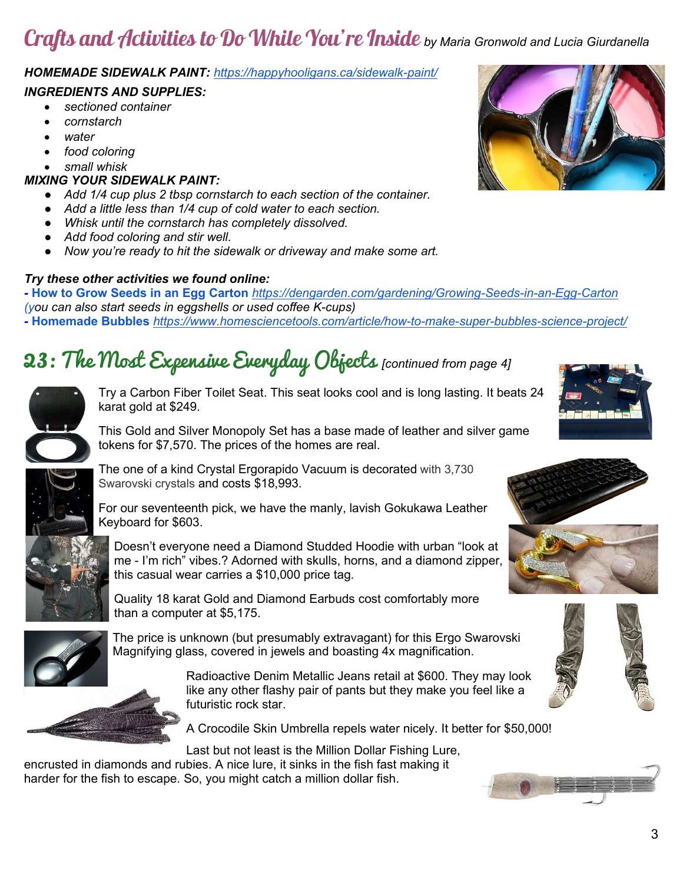## Crafts and Activities to Do While You're Inside *by Maria Gronwold and Lucia Giurdanella*

#### *HOMEMADE SIDEWALK PAINT: <https://happyhooligans.ca/sidewalk-paint/>*

#### *INGREDIENTS AND SUPPLIES:*

- *sectioned container*
- *cornstarch*
- *water*
- *food coloring*
- *small whisk*

#### *MIXING YOUR SIDEWALK PAINT:*

- *Add 1/4 cup plus 2 tbsp cornstarch to each section of the container.*
- *Add a little less than 1/4 cup of cold water to each section.*
- *Whisk until the cornstarch has completely dissolved.*
- *Add food coloring and stir well.*
- *Now you're ready to hit the sidewalk or driveway and make some art.*

#### *Try these other activities we found online:*

*-* **[How to Grow Seeds in an Egg Carton](https://dengarden.com/gardening/Growing-Seeds-in-an-Egg-Carton)** *<https://dengarden.com/gardening/Growing-Seeds-in-an-Egg-Carton> (you can also start seeds in eggshells or used coffee K-cups) -* **[Homemade Bubbles](https://www.homesciencetools.com/article/how-to-make-super-bubbles-science-project/)** *<https://www.homesciencetools.com/article/how-to-make-super-bubbles-science-project/>*

## 23: The Most Expensive Everyday Objects *[continued from page 4]*



Try a Carbon Fiber Toilet Seat. This seat looks cool and is long lasting. It beats 24 karat gold at \$249.

This Gold and Silver Monopoly Set has a base made of leather and silver game tokens for \$7,570. The prices of the homes are real.



The one of a kind Crystal Ergorapido Vacuum is decorated with 3,730 Swarovski crystals and costs \$18,993.

For our seventeenth pick, we have the manly, lavish Gokukawa Leather Keyboard for \$603.

Doesn't everyone need a Diamond Studded Hoodie with urban "look at me - I'm rich" vibes.? Adorned with skulls, horns, and a diamond zipper, this casual wear carries a \$10,000 price tag.

Quality 18 karat Gold and Diamond Earbuds cost comfortably more than a computer at \$5,175.



The price is unknown (but presumably extravagant) for this Ergo Swarovski Magnifying glass, covered in jewels and boasting 4x magnification.

> Radioactive Denim Metallic Jeans retail at \$600. They may look like any other flashy pair of pants but they make you feel like a futuristic rock star.

A Crocodile Skin Umbrella repels water nicely. It better for \$50,000!

Last but not least is the Million Dollar Fishing Lure,

encrusted in diamonds and rubies. A nice lure, it sinks in the fish fast making it harder for the fish to escape. So, you might catch a million dollar fish.